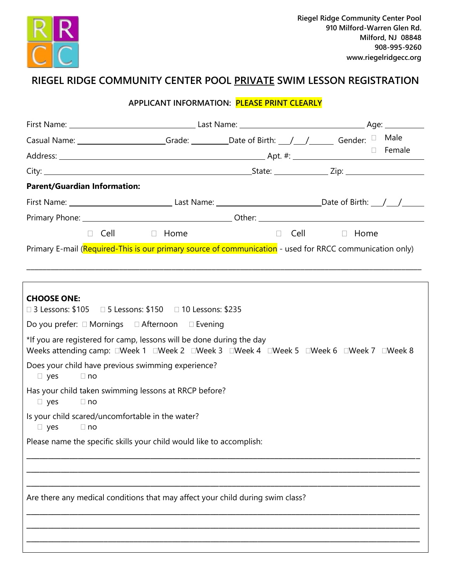

## **RIEGEL RIDGE COMMUNITY CENTER POOL PRIVATE SWIM LESSON REGISTRATION**

## **APPLICANT INFORMATION: PLEASE PRINT CLEARLY**

| Casual Name: _____________________Grade: __________Date of Birth: ___/____/_______Gender: □ Male         |  |  |                         |
|----------------------------------------------------------------------------------------------------------|--|--|-------------------------|
|                                                                                                          |  |  | Female                  |
|                                                                                                          |  |  |                         |
| <b>Parent/Guardian Information:</b>                                                                      |  |  |                         |
|                                                                                                          |  |  |                         |
|                                                                                                          |  |  |                         |
| Cell a Home                                                                                              |  |  | $\Box$ Cell $\Box$ Home |
| Primary E-mail (Required-This is our primary source of communication - used for RRCC communication only) |  |  |                         |

\_\_\_\_\_\_\_\_\_\_\_\_\_\_\_\_\_\_\_\_\_\_\_\_\_\_\_\_\_\_\_\_\_\_\_\_\_\_\_\_\_\_\_\_\_\_\_\_\_\_\_\_\_\_\_\_\_\_\_\_\_\_\_\_\_\_\_\_\_\_\_\_\_\_\_\_\_\_\_\_\_\_\_\_\_\_\_\_\_\_\_\_\_\_\_\_\_\_

| <b>CHOOSE ONE:</b><br>□ 3 Lessons: \$105 □ 5 Lessons: \$150 □ 10 Lessons: \$235                                                                               |
|---------------------------------------------------------------------------------------------------------------------------------------------------------------|
| Do you prefer: □ Mornings □ Afternoon □ Evening                                                                                                               |
| *If you are registered for camp, lessons will be done during the day<br>Weeks attending camp: OWeek 1 OWeek 2 OWeek 3 OWeek 4 OWeek 5 OWeek 6 OWeek 7 OWeek 8 |
| Does your child have previous swimming experience?<br>$\Box$ no<br>$\Box$ yes                                                                                 |
| Has your child taken swimming lessons at RRCP before?<br>$\Box$ no<br>$\Box$ yes                                                                              |
| Is your child scared/uncomfortable in the water?<br>$\Box$ yes<br>$\Box$ no                                                                                   |
| Please name the specific skills your child would like to accomplish:                                                                                          |
|                                                                                                                                                               |
| Are there any medical conditions that may affect your child during swim class?                                                                                |
|                                                                                                                                                               |
|                                                                                                                                                               |